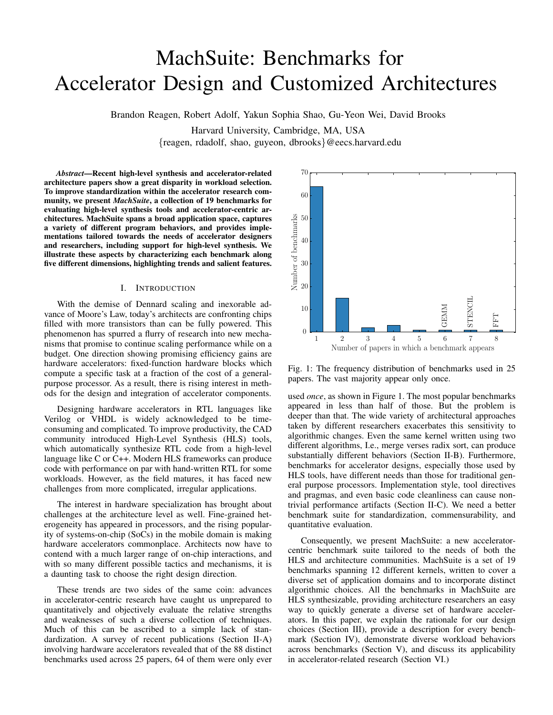# MachSuite: Benchmarks for Accelerator Design and Customized Architectures

Brandon Reagen, Robert Adolf, Yakun Sophia Shao, Gu-Yeon Wei, David Brooks

Harvard University, Cambridge, MA, USA

{reagen, rdadolf, shao, guyeon, dbrooks}@eecs.harvard.edu

*Abstract*—Recent high-level synthesis and accelerator-related architecture papers show a great disparity in workload selection. To improve standardization within the accelerator research community, we present *MachSuite*, a collection of 19 benchmarks for evaluating high-level synthesis tools and accelerator-centric architectures. MachSuite spans a broad application space, captures a variety of different program behaviors, and provides implementations tailored towards the needs of accelerator designers and researchers, including support for high-level synthesis. We illustrate these aspects by characterizing each benchmark along five different dimensions, highlighting trends and salient features.

## I. INTRODUCTION

With the demise of Dennard scaling and inexorable advance of Moore's Law, today's architects are confronting chips filled with more transistors than can be fully powered. This phenomenon has spurred a flurry of research into new mechanisms that promise to continue scaling performance while on a budget. One direction showing promising efficiency gains are hardware accelerators: fixed-function hardware blocks which compute a specific task at a fraction of the cost of a generalpurpose processor. As a result, there is rising interest in methods for the design and integration of accelerator components.

Designing hardware accelerators in RTL languages like Verilog or VHDL is widely acknowledged to be timeconsuming and complicated. To improve productivity, the CAD community introduced High-Level Synthesis (HLS) tools, which automatically synthesize RTL code from a high-level language like C or C++. Modern HLS frameworks can produce code with performance on par with hand-written RTL for some workloads. However, as the field matures, it has faced new challenges from more complicated, irregular applications.

The interest in hardware specialization has brought about challenges at the architecture level as well. Fine-grained heterogeneity has appeared in processors, and the rising popularity of systems-on-chip (SoCs) in the mobile domain is making hardware accelerators commonplace. Architects now have to contend with a much larger range of on-chip interactions, and with so many different possible tactics and mechanisms, it is a daunting task to choose the right design direction.

These trends are two sides of the same coin: advances in accelerator-centric research have caught us unprepared to quantitatively and objectively evaluate the relative strengths and weaknesses of such a diverse collection of techniques. Much of this can be ascribed to a simple lack of standardization. A survey of recent publications (Section II-A) involving hardware accelerators revealed that of the 88 distinct benchmarks used across 25 papers, 64 of them were only ever



Fig. 1: The frequency distribution of benchmarks used in 25 papers. The vast majority appear only once.

used *once*, as shown in Figure 1. The most popular benchmarks appeared in less than half of those. But the problem is deeper than that. The wide variety of architectural approaches taken by different researchers exacerbates this sensitivity to algorithmic changes. Even the same kernel written using two different algorithms, I.e., merge verses radix sort, can produce substantially different behaviors (Section II-B). Furthermore, benchmarks for accelerator designs, especially those used by HLS tools, have different needs than those for traditional general purpose processors. Implementation style, tool directives and pragmas, and even basic code cleanliness can cause nontrivial performance artifacts (Section II-C). We need a better benchmark suite for standardization, commensurability, and quantitative evaluation.

Consequently, we present MachSuite: a new acceleratorcentric benchmark suite tailored to the needs of both the HLS and architecture communities. MachSuite is a set of 19 benchmarks spanning 12 different kernels, written to cover a diverse set of application domains and to incorporate distinct algorithmic choices. All the benchmarks in MachSuite are HLS synthesizable, providing architecture researchers an easy way to quickly generate a diverse set of hardware accelerators. In this paper, we explain the rationale for our design choices (Section III), provide a description for every benchmark (Section IV), demonstrate diverse workload behaviors across benchmarks (Section V), and discuss its applicability in accelerator-related research (Section VI.)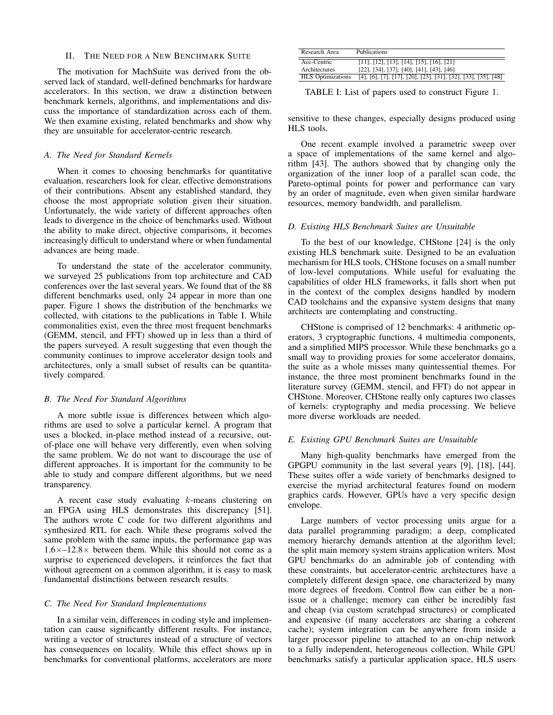## II. THE NEED FOR A NEW BENCHMARK SUITE

The motivation for MachSuite was derived from the observed lack of standard, well-defined benchmarks for hardware accelerators. In this section, we draw a distinction between benchmark kernels, algorithms, and implementations and discuss the importance of standardization across each of them. We then examine existing, related benchmarks and show why they are unsuitable for accelerator-centric research.

## *A. The Need for Standard Kernels*

When it comes to choosing benchmarks for quantitative evaluation, researchers look for clear, effective demonstrations of their contributions. Absent any established standard, they choose the most appropriate solution given their situation. Unfortunately, the wide variety of different approaches often leads to divergence in the choice of benchmarks used. Without the ability to make direct, objective comparisons, it becomes increasingly difficult to understand where or when fundamental advances are being made.

To understand the state of the accelerator community, we surveyed 25 publications from top architecture and CAD conferences over the last several years. We found that of the 88 different benchmarks used, only 24 appear in more than one paper. Figure 1 shows the distribution of the benchmarks we collected, with citations to the publications in Table I. While commonalities exist, even the three most frequent benchmarks (GEMM, stencil, and FFT) showed up in less than a third of the papers surveyed. A result suggesting that even though the community continues to improve accelerator design tools and architectures, only a small subset of results can be quantitatively compared.

#### *B. The Need For Standard Algorithms*

A more subtle issue is differences between which algorithms are used to solve a particular kernel. A program that uses a blocked, in-place method instead of a recursive, outof-place one will behave very differently, even when solving the same problem. We do not want to discourage the use of different approaches. It is important for the community to be able to study and compare different algorithms, but we need transparency.

A recent case study evaluating  $k$ -means clustering on an FPGA using HLS demonstrates this discrepancy [51]. The authors wrote C code for two different algorithms and synthesized RTL for each. While these programs solved the same problem with the same inputs, the performance gap was  $1.6\times$ -12.8 $\times$  between them. While this should not come as a surprise to experienced developers, it reinforces the fact that without agreement on a common algorithm, it is easy to mask fundamental distinctions between research results.

#### *C. The Need For Standard Implementations*

In a similar vein, differences in coding style and implementation can cause significantly different results. For instance, writing a vector of structures instead of a structure of vectors has consequences on locality. While this effect shows up in benchmarks for conventional platforms, accelerators are more

| Research Area            | Publications                                                  |
|--------------------------|---------------------------------------------------------------|
| Acc-Centric              | $[11]$ , $[12]$ , $[13]$ , $[14]$ , $[15]$ , $[16]$ , $[21]$  |
| Architectures            | $[22]$ , [34], [37], [40], [41], [43], [46]                   |
| <b>HLS</b> Optimizations | [4], [6], [7], [17], [20], [23], [31], [32], [33], [35], [48] |

TABLE I: List of papers used to construct Figure 1.

sensitive to these changes, especially designs produced using HLS tools.

One recent example involved a parametric sweep over a space of implementations of the same kernel and algorithm [43]. The authors showed that by changing only the organization of the inner loop of a parallel scan code, the Pareto-optimal points for power and performance can vary by an order of magnitude, even when given similar hardware resources, memory bandwidth, and parallelism.

#### *D. Existing HLS Benchmark Suites are Unsuitable*

To the best of our knowledge, CHStone [24] is the only existing HLS benchmark suite. Designed to be an evaluation mechanism for HLS tools, CHStone focuses on a small number of low-level computations. While useful for evaluating the capabilities of older HLS frameworks, it falls short when put in the context of the complex designs handled by modern CAD toolchains and the expansive system designs that many architects are contemplating and constructing.

CHStone is comprised of 12 benchmarks: 4 arithmetic operators, 3 cryptographic functions, 4 multimedia components, and a simplified MIPS processor. While these benchmarks go a small way to providing proxies for some accelerator domains, the suite as a whole misses many quintessential themes. For instance, the three most prominent benchmarks found in the literature survey (GEMM, stencil, and FFT) do not appear in CHStone. Moreover, CHStone really only captures two classes of kernels: cryptography and media processing. We believe more diverse workloads are needed.

#### *E. Existing GPU Benchmark Suites are Unsuitable*

Many high-quality benchmarks have emerged from the GPGPU community in the last several years [9], [18], [44]. These suites offer a wide variety of benchmarks designed to exercise the myriad architectural features found on modern graphics cards. However, GPUs have a very specific design envelope.

Large numbers of vector processing units argue for a data parallel programming paradigm; a deep, complicated memory hierarchy demands attention at the algorithm level; the split main memory system strains application writers. Most GPU benchmarks do an admirable job of contending with these constraints, but accelerator-centric architectures have a completely different design space, one characterized by many more degrees of freedom. Control flow can either be a nonissue or a challenge; memory can either be incredibly fast and cheap (via custom scratchpad structures) or complicated and expensive (if many accelerators are sharing a coherent cache); system integration can be anywhere from inside a larger processor pipeline to attached to an on-chip network to a fully independent, heterogeneous collection. While GPU benchmarks satisfy a particular application space, HLS users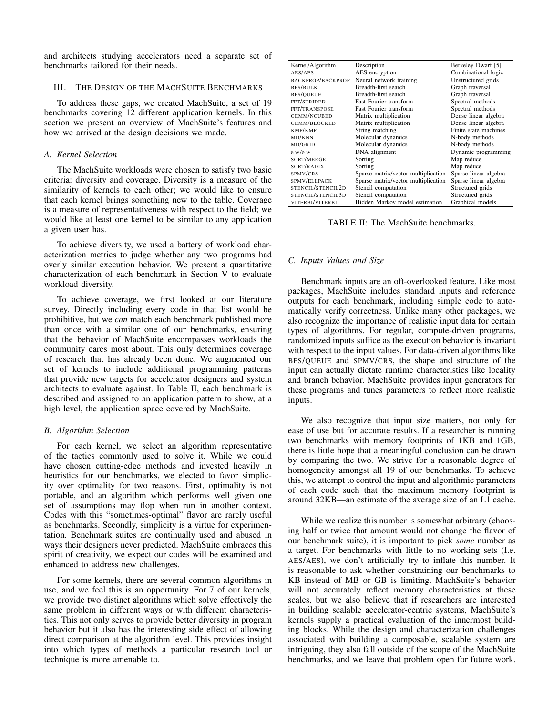and architects studying accelerators need a separate set of benchmarks tailored for their needs.

## III. THE DESIGN OF THE MACHSUITE BENCHMARKS

To address these gaps, we created MachSuite, a set of 19 benchmarks covering 12 different application kernels. In this section we present an overview of MachSuite's features and how we arrived at the design decisions we made.

## *A. Kernel Selection*

The MachSuite workloads were chosen to satisfy two basic criteria: diversity and coverage. Diversity is a measure of the similarity of kernels to each other; we would like to ensure that each kernel brings something new to the table. Coverage is a measure of representativeness with respect to the field; we would like at least one kernel to be similar to any application a given user has.

To achieve diversity, we used a battery of workload characterization metrics to judge whether any two programs had overly similar execution behavior. We present a quantitative characterization of each benchmark in Section V to evaluate workload diversity.

To achieve coverage, we first looked at our literature survey. Directly including every code in that list would be prohibitive, but we *can* match each benchmark published more than once with a similar one of our benchmarks, ensuring that the behavior of MachSuite encompasses workloads the community cares most about. This only determines coverage of research that has already been done. We augmented our set of kernels to include additional programming patterns that provide new targets for accelerator designers and system architects to evaluate against. In Table II, each benchmark is described and assigned to an application pattern to show, at a high level, the application space covered by MachSuite.

## *B. Algorithm Selection*

For each kernel, we select an algorithm representative of the tactics commonly used to solve it. While we could have chosen cutting-edge methods and invested heavily in heuristics for our benchmarks, we elected to favor simplicity over optimality for two reasons. First, optimality is not portable, and an algorithm which performs well given one set of assumptions may flop when run in another context. Codes with this "sometimes-optimal" flavor are rarely useful as benchmarks. Secondly, simplicity is a virtue for experimentation. Benchmark suites are continually used and abused in ways their designers never predicted. MachSuite embraces this spirit of creativity, we expect our codes will be examined and enhanced to address new challenges.

For some kernels, there are several common algorithms in use, and we feel this is an opportunity. For 7 of our kernels, we provide two distinct algorithms which solve effectively the same problem in different ways or with different characteristics. This not only serves to provide better diversity in program behavior but it also has the interesting side effect of allowing direct comparison at the algorithm level. This provides insight into which types of methods a particular research tool or technique is more amenable to.

| Kernel/Algorithm         | Description                         | Berkeley Dwarf [5]    |
|--------------------------|-------------------------------------|-----------------------|
| AES/AES                  | AES encryption                      | Combinational logic   |
| <b>BACKPROP/BACKPROP</b> | Neural network training             | Unstructured grids    |
| BFS/BULK                 | Breadth-first search                | Graph traversal       |
| BFS/QUEUE                | Breadth-first search                | Graph traversal       |
| FFT/STRIDED              | <b>Fast Fourier transform</b>       | Spectral methods      |
| FFT/TRANSPOSE            | <b>Fast Fourier transform</b>       | Spectral methods      |
| <b>GEMM/NCUBED</b>       | Matrix multiplication               | Dense linear algebra  |
| <b>GEMM/BLOCKED</b>      | Matrix multiplication               | Dense linear algebra  |
| KMP/KMP                  | String matching                     | Finite state machines |
| MD/KNN                   | Molecular dynamics                  | N-body methods        |
| MD/GRID                  | Molecular dynamics                  | N-body methods        |
| NW/NW                    | DNA alignment                       | Dynamic programming   |
| SORT/MERGE               | Sorting                             | Map reduce            |
| SORT/RADIX               | Sorting                             | Map reduce            |
| SPMV/CRS                 | Sparse matrix/vector multiplication | Sparse linear algebra |
| SPMV/ELLPACK             | Sparse matrix/vector multiplication | Sparse linear algebra |
| STENCIL/STENCIL2D        | Stencil computation                 | Structured grids      |
| STENCIL/STENCIL3D        | Stencil computation                 | Structured grids      |
| VITERBI/VITERBI          | Hidden Markov model estimation      | Graphical models      |

TABLE II: The MachSuite benchmarks.

#### *C. Inputs Values and Size*

Benchmark inputs are an oft-overlooked feature. Like most packages, MachSuite includes standard inputs and reference outputs for each benchmark, including simple code to automatically verify correctness. Unlike many other packages, we also recognize the importance of realistic input data for certain types of algorithms. For regular, compute-driven programs, randomized inputs suffice as the execution behavior is invariant with respect to the input values. For data-driven algorithms like BFS/QUEUE and SPMV/CRS, the shape and structure of the input can actually dictate runtime characteristics like locality and branch behavior. MachSuite provides input generators for these programs and tunes parameters to reflect more realistic inputs.

We also recognize that input size matters, not only for ease of use but for accurate results. If a researcher is running two benchmarks with memory footprints of 1KB and 1GB, there is little hope that a meaningful conclusion can be drawn by comparing the two. We strive for a reasonable degree of homogeneity amongst all 19 of our benchmarks. To achieve this, we attempt to control the input and algorithmic parameters of each code such that the maximum memory footprint is around 32KB—an estimate of the average size of an L1 cache.

While we realize this number is somewhat arbitrary (choosing half or twice that amount would not change the flavor of our benchmark suite), it is important to pick *some* number as a target. For benchmarks with little to no working sets (I.e. AES/AES), we don't artificially try to inflate this number. It is reasonable to ask whether constraining our benchmarks to KB instead of MB or GB is limiting. MachSuite's behavior will not accurately reflect memory characteristics at these scales, but we also believe that if researchers are interested in building scalable accelerator-centric systems, MachSuite's kernels supply a practical evaluation of the innermost building blocks. While the design and characterization challenges associated with building a composable, scalable system are intriguing, they also fall outside of the scope of the MachSuite benchmarks, and we leave that problem open for future work.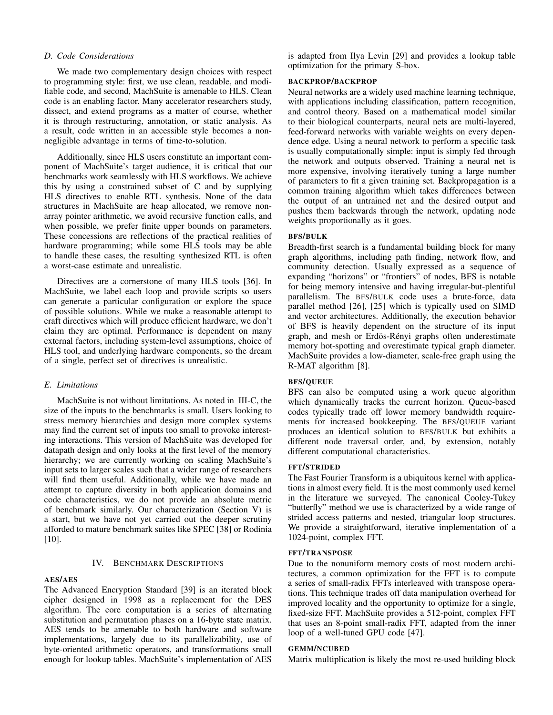# *D. Code Considerations*

We made two complementary design choices with respect to programming style: first, we use clean, readable, and modifiable code, and second, MachSuite is amenable to HLS. Clean code is an enabling factor. Many accelerator researchers study, dissect, and extend programs as a matter of course, whether it is through restructuring, annotation, or static analysis. As a result, code written in an accessible style becomes a nonnegligible advantage in terms of time-to-solution.

Additionally, since HLS users constitute an important component of MachSuite's target audience, it is critical that our benchmarks work seamlessly with HLS workflows. We achieve this by using a constrained subset of C and by supplying HLS directives to enable RTL synthesis. None of the data structures in MachSuite are heap allocated, we remove nonarray pointer arithmetic, we avoid recursive function calls, and when possible, we prefer finite upper bounds on parameters. These concessions are reflections of the practical realities of hardware programming; while some HLS tools may be able to handle these cases, the resulting synthesized RTL is often a worst-case estimate and unrealistic.

Directives are a cornerstone of many HLS tools [36]. In MachSuite, we label each loop and provide scripts so users can generate a particular configuration or explore the space of possible solutions. While we make a reasonable attempt to craft directives which will produce efficient hardware, we don't claim they are optimal. Performance is dependent on many external factors, including system-level assumptions, choice of HLS tool, and underlying hardware components, so the dream of a single, perfect set of directives is unrealistic.

## *E. Limitations*

MachSuite is not without limitations. As noted in III-C, the size of the inputs to the benchmarks is small. Users looking to stress memory hierarchies and design more complex systems may find the current set of inputs too small to provoke interesting interactions. This version of MachSuite was developed for datapath design and only looks at the first level of the memory hierarchy; we are currently working on scaling MachSuite's input sets to larger scales such that a wider range of researchers will find them useful. Additionally, while we have made an attempt to capture diversity in both application domains and code characteristics, we do not provide an absolute metric of benchmark similarly. Our characterization (Section V) is a start, but we have not yet carried out the deeper scrutiny afforded to mature benchmark suites like SPEC [38] or Rodinia [10].

#### IV. BENCHMARK DESCRIPTIONS

## AES/AES

The Advanced Encryption Standard [39] is an iterated block cipher designed in 1998 as a replacement for the DES algorithm. The core computation is a series of alternating substitution and permutation phases on a 16-byte state matrix. AES tends to be amenable to both hardware and software implementations, largely due to its parallelizability, use of byte-oriented arithmetic operators, and transformations small enough for lookup tables. MachSuite's implementation of AES is adapted from Ilya Levin [29] and provides a lookup table optimization for the primary S-box.

## BACKPROP/BACKPROP

Neural networks are a widely used machine learning technique, with applications including classification, pattern recognition, and control theory. Based on a mathematical model similar to their biological counterparts, neural nets are multi-layered, feed-forward networks with variable weights on every dependence edge. Using a neural network to perform a specific task is usually computationally simple: input is simply fed through the network and outputs observed. Training a neural net is more expensive, involving iteratively tuning a large number of parameters to fit a given training set. Backpropagation is a common training algorithm which takes differences between the output of an untrained net and the desired output and pushes them backwards through the network, updating node weights proportionally as it goes.

### BFS/BULK

Breadth-first search is a fundamental building block for many graph algorithms, including path finding, network flow, and community detection. Usually expressed as a sequence of expanding "horizons" or "frontiers" of nodes, BFS is notable for being memory intensive and having irregular-but-plentiful parallelism. The BFS/BULK code uses a brute-force, data parallel method [26], [25] which is typically used on SIMD and vector architectures. Additionally, the execution behavior of BFS is heavily dependent on the structure of its input graph, and mesh or Erdös-Rényi graphs often underestimate memory hot-spotting and overestimate typical graph diameter. MachSuite provides a low-diameter, scale-free graph using the R-MAT algorithm [8].

# BFS/QUEUE

BFS can also be computed using a work queue algorithm which dynamically tracks the current horizon. Queue-based codes typically trade off lower memory bandwidth requirements for increased bookkeeping. The BFS/QUEUE variant produces an identical solution to BFS/BULK but exhibits a different node traversal order, and, by extension, notably different computational characteristics.

#### FFT/STRIDED

The Fast Fourier Transform is a ubiquitous kernel with applications in almost every field. It is the most commonly used kernel in the literature we surveyed. The canonical Cooley-Tukey "butterfly" method we use is characterized by a wide range of strided access patterns and nested, triangular loop structures. We provide a straightforward, iterative implementation of a 1024-point, complex FFT.

#### FFT/TRANSPOSE

Due to the nonuniform memory costs of most modern architectures, a common optimization for the FFT is to compute a series of small-radix FFTs interleaved with transpose operations. This technique trades off data manipulation overhead for improved locality and the opportunity to optimize for a single, fixed-size FFT. MachSuite provides a 512-point, complex FFT that uses an 8-point small-radix FFT, adapted from the inner loop of a well-tuned GPU code [47].

#### GEMM/NCUBED

Matrix multiplication is likely the most re-used building block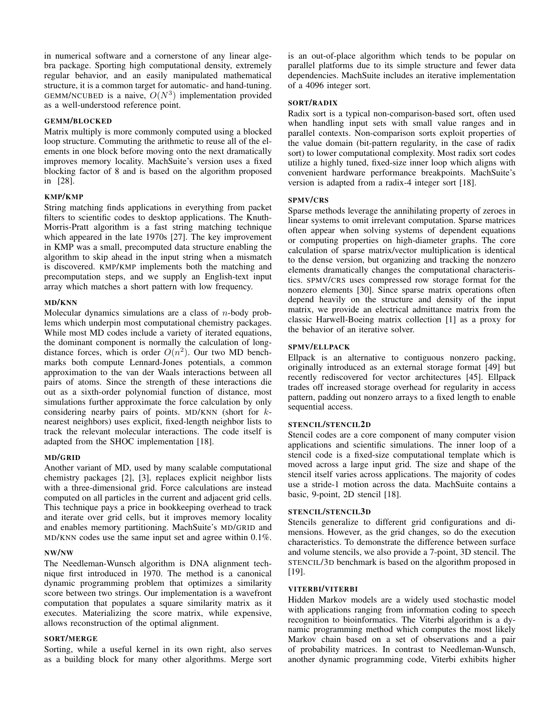in numerical software and a cornerstone of any linear algebra package. Sporting high computational density, extremely regular behavior, and an easily manipulated mathematical structure, it is a common target for automatic- and hand-tuning. GEMM/NCUBED is a naive,  $O(N^3)$  implementation provided as a well-understood reference point.

# GEMM/BLOCKED

Matrix multiply is more commonly computed using a blocked loop structure. Commuting the arithmetic to reuse all of the elements in one block before moving onto the next dramatically improves memory locality. MachSuite's version uses a fixed blocking factor of 8 and is based on the algorithm proposed in [28].

# KMP/KMP

String matching finds applications in everything from packet filters to scientific codes to desktop applications. The Knuth-Morris-Pratt algorithm is a fast string matching technique which appeared in the late 1970s [27]. The key improvement in KMP was a small, precomputed data structure enabling the algorithm to skip ahead in the input string when a mismatch is discovered. KMP/KMP implements both the matching and precomputation steps, and we supply an English-text input array which matches a short pattern with low frequency.

# MD/KNN

Molecular dynamics simulations are a class of  $n$ -body problems which underpin most computational chemistry packages. While most MD codes include a variety of iterated equations, the dominant component is normally the calculation of longdistance forces, which is order  $O(n^2)$ . Our two MD benchmarks both compute Lennard-Jones potentials, a common approximation to the van der Waals interactions between all pairs of atoms. Since the strength of these interactions die out as a sixth-order polynomial function of distance, most simulations further approximate the force calculation by only considering nearby pairs of points. MD/KNN (short for  $k$ nearest neighbors) uses explicit, fixed-length neighbor lists to track the relevant molecular interactions. The code itself is adapted from the SHOC implementation [18].

## MD/GRID

Another variant of MD, used by many scalable computational chemistry packages [2], [3], replaces explicit neighbor lists with a three-dimensional grid. Force calculations are instead computed on all particles in the current and adjacent grid cells. This technique pays a price in bookkeeping overhead to track and iterate over grid cells, but it improves memory locality and enables memory partitioning. MachSuite's MD/GRID and MD/KNN codes use the same input set and agree within 0.1%.

## NW/NW

The Needleman-Wunsch algorithm is DNA alignment technique first introduced in 1970. The method is a canonical dynamic programming problem that optimizes a similarity score between two strings. Our implementation is a wavefront computation that populates a square similarity matrix as it executes. Materializing the score matrix, while expensive, allows reconstruction of the optimal alignment.

## SORT/MERGE

Sorting, while a useful kernel in its own right, also serves as a building block for many other algorithms. Merge sort is an out-of-place algorithm which tends to be popular on parallel platforms due to its simple structure and fewer data dependencies. MachSuite includes an iterative implementation of a 4096 integer sort.

# SORT/RADIX

Radix sort is a typical non-comparison-based sort, often used when handling input sets with small value ranges and in parallel contexts. Non-comparison sorts exploit properties of the value domain (bit-pattern regularity, in the case of radix sort) to lower computational complexity. Most radix sort codes utilize a highly tuned, fixed-size inner loop which aligns with convenient hardware performance breakpoints. MachSuite's version is adapted from a radix-4 integer sort [18].

# SPMV/CRS

Sparse methods leverage the annihilating property of zeroes in linear systems to omit irrelevant computation. Sparse matrices often appear when solving systems of dependent equations or computing properties on high-diameter graphs. The core calculation of sparse matrix/vector multiplication is identical to the dense version, but organizing and tracking the nonzero elements dramatically changes the computational characteristics. SPMV/CRS uses compressed row storage format for the nonzero elements [30]. Since sparse matrix operations often depend heavily on the structure and density of the input matrix, we provide an electrical admittance matrix from the classic Harwell-Boeing matrix collection [1] as a proxy for the behavior of an iterative solver.

# SPMV/ELLPACK

Ellpack is an alternative to contiguous nonzero packing, originally introduced as an external storage format [49] but recently rediscovered for vector architectures [45]. Ellpack trades off increased storage overhead for regularity in access pattern, padding out nonzero arrays to a fixed length to enable sequential access.

# STENCIL/STENCIL2D

Stencil codes are a core component of many computer vision applications and scientific simulations. The inner loop of a stencil code is a fixed-size computational template which is moved across a large input grid. The size and shape of the stencil itself varies across applications. The majority of codes use a stride-1 motion across the data. MachSuite contains a basic, 9-point, 2D stencil [18].

## STENCIL/STENCIL3D

Stencils generalize to different grid configurations and dimensions. However, as the grid changes, so do the execution characteristics. To demonstrate the difference between surface and volume stencils, we also provide a 7-point, 3D stencil. The STENCIL/3D benchmark is based on the algorithm proposed in [19].

## VITERBI/VITERBI

Hidden Markov models are a widely used stochastic model with applications ranging from information coding to speech recognition to bioinformatics. The Viterbi algorithm is a dynamic programming method which computes the most likely Markov chain based on a set of observations and a pair of probability matrices. In contrast to Needleman-Wunsch, another dynamic programming code, Viterbi exhibits higher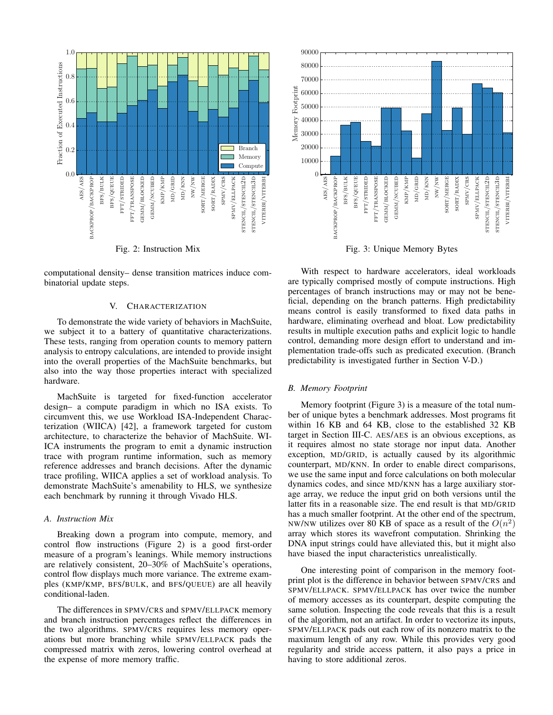

Fig. 2: Instruction Mix

computational density– dense transition matrices induce combinatorial update steps.

# V. CHARACTERIZATION

To demonstrate the wide variety of behaviors in MachSuite, we subject it to a battery of quantitative characterizations. These tests, ranging from operation counts to memory pattern analysis to entropy calculations, are intended to provide insight into the overall properties of the MachSuite benchmarks, but also into the way those properties interact with specialized hardware.

MachSuite is targeted for fixed-function accelerator design– a compute paradigm in which no ISA exists. To circumvent this, we use Workload ISA-Independent Characterization (WIICA) [42], a framework targeted for custom architecture, to characterize the behavior of MachSuite. WI-ICA instruments the program to emit a dynamic instruction trace with program runtime information, such as memory reference addresses and branch decisions. After the dynamic trace profiling, WIICA applies a set of workload analysis. To demonstrate MachSuite's amenability to HLS, we synthesize each benchmark by running it through Vivado HLS. The more memory in the experiment of the system of the experiment of a more memory traffic. The difference of more memory traffice of more memory traffice of more memory traffice of the more in the experiment of the expe

#### *A. Instruction Mix*

Breaking down a program into compute, memory, and control flow instructions (Figure 2) is a good first-order measure of a program's leanings. While memory instructions are relatively consistent, 20–30% of MachSuite's operations, control flow displays much more variance. The extreme examples (KMP/KMP, BFS/BULK, and BFS/QUEUE) are all heavily conditional-laden.

The differences in SPMV/CRS and SPMV/ELLPACK memory and branch instruction percentages reflect the differences in the two algorithms. SPMV/CRS requires less memory operations but more branching while SPMV/ELLPACK pads the compressed matrix with zeros, lowering control overhead at



Fig. 3: Unique Memory Bytes

With respect to hardware accelerators, ideal workloads are typically comprised mostly of compute instructions. High percentages of branch instructions may or may not be beneficial, depending on the branch patterns. High predictability means control is easily transformed to fixed data paths in hardware, eliminating overhead and bloat. Low predictability results in multiple execution paths and explicit logic to handle control, demanding more design effort to understand and implementation trade-offs such as predicated execution. (Branch predictability is investigated further in Section V-D.)

## *B. Memory Footprint*

Memory footprint (Figure 3) is a measure of the total number of unique bytes a benchmark addresses. Most programs fit within 16 KB and 64 KB, close to the established 32 KB target in Section III-C. AES/AES is an obvious exceptions, as it requires almost no state storage nor input data. Another exception, MD/GRID, is actually caused by its algorithmic counterpart, MD/KNN. In order to enable direct comparisons, we use the same input and force calculations on both molecular dynamics codes, and since MD/KNN has a large auxiliary storage array, we reduce the input grid on both versions until the latter fits in a reasonable size. The end result is that MD/GRID has a much smaller footprint. At the other end of the spectrum, NW/NW utilizes over 80 KB of space as a result of the  $O(n^2)$ array which stores its wavefront computation. Shrinking the DNA input strings could have alleviated this, but it might also have biased the input characteristics unrealistically.

One interesting point of comparison in the memory footprint plot is the difference in behavior between SPMV/CRS and SPMV/ELLPACK. SPMV/ELLPACK has over twice the number of memory accesses as its counterpart, despite computing the same solution. Inspecting the code reveals that this is a result of the algorithm, not an artifact. In order to vectorize its inputs, SPMV/ELLPACK pads out each row of its nonzero matrix to the maximum length of any row. While this provides very good regularity and stride access pattern, it also pays a price in having to store additional zeros.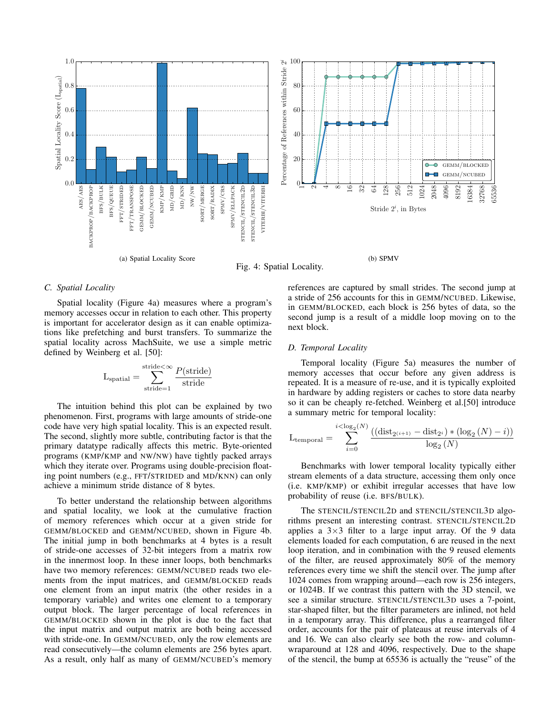

Fig. 4: Spatial Locality.

## *C. Spatial Locality*

Spatial locality (Figure 4a) measures where a program's memory accesses occur in relation to each other. This property is important for accelerator design as it can enable optimizations like prefetching and burst transfers. To summarize the spatial locality across MachSuite, we use a simple metric defined by Weinberg et al. [50]:

$$
L_{\text{spatial}} = \sum_{\text{stride}=1}^{\text{stride} < \infty} \frac{P(\text{stride})}{\text{stride}}
$$

The intuition behind this plot can be explained by two phenomenon. First, programs with large amounts of stride-one code have very high spatial locality. This is an expected result. The second, slightly more subtle, contributing factor is that the primary datatype radically affects this metric. Byte-oriented programs (KMP/KMP and NW/NW) have tightly packed arrays which they iterate over. Programs using double-precision floating point numbers (e.g., FFT/STRIDED and MD/KNN) can only achieve a minimum stride distance of 8 bytes.

To better understand the relationship between algorithms and spatial locality, we look at the cumulative fraction of memory references which occur at a given stride for GEMM/BLOCKED and GEMM/NCUBED, shown in Figure 4b. The initial jump in both benchmarks at 4 bytes is a result of stride-one accesses of 32-bit integers from a matrix row in the innermost loop. In these inner loops, both benchmarks have two memory references: GEMM/NCUBED reads two elements from the input matrices, and GEMM/BLOCKED reads one element from an input matrix (the other resides in a temporary variable) and writes one element to a temporary output block. The larger percentage of local references in GEMM/BLOCKED shown in the plot is due to the fact that the input matrix and output matrix are both being accessed with stride-one. In GEMM/NCUBED, only the row elements are read consecutively—the column elements are 256 bytes apart. As a result, only half as many of GEMM/NCUBED's memory references are captured by small strides. The second jump at a stride of 256 accounts for this in GEMM/NCUBED. Likewise, in GEMM/BLOCKED, each block is 256 bytes of data, so the second jump is a result of a middle loop moving on to the next block.

# *D. Temporal Locality*

Temporal locality (Figure 5a) measures the number of memory accesses that occur before any given address is repeated. It is a measure of re-use, and it is typically exploited in hardware by adding registers or caches to store data nearby so it can be cheaply re-fetched. Weinberg et al.[50] introduce a summary metric for temporal locality:

$$
L_{\text{temporal}} = \sum_{i=0}^{i < \log_2(N)} \frac{((\text{dist}_{2^{(i+1)}} - \text{dist}_{2^i}) * (\log_2(N) - i))}{\log_2(N)}
$$

Benchmarks with lower temporal locality typically either stream elements of a data structure, accessing them only once (i.e. KMP/KMP) or exhibit irregular accesses that have low probability of reuse (i.e. BFS/BULK).

The STENCIL/STENCIL2D and STENCIL/STENCIL3D algorithms present an interesting contrast. STENCIL/STENCIL2D applies a  $3\times3$  filter to a large input array. Of the 9 data elements loaded for each computation, 6 are reused in the next loop iteration, and in combination with the 9 reused elements of the filter, are reused approximately 80% of the memory references every time we shift the stencil over. The jump after 1024 comes from wrapping around—each row is 256 integers, or 1024B. If we contrast this pattern with the 3D stencil, we see a similar structure. STENCIL/STENCIL3D uses a 7-point, star-shaped filter, but the filter parameters are inlined, not held in a temporary array. This difference, plus a rearranged filter order, accounts for the pair of plateaus at reuse intervals of 4 and 16. We can also clearly see both the row- and columnwraparound at 128 and 4096, respectively. Due to the shape of the stencil, the bump at 65536 is actually the "reuse" of the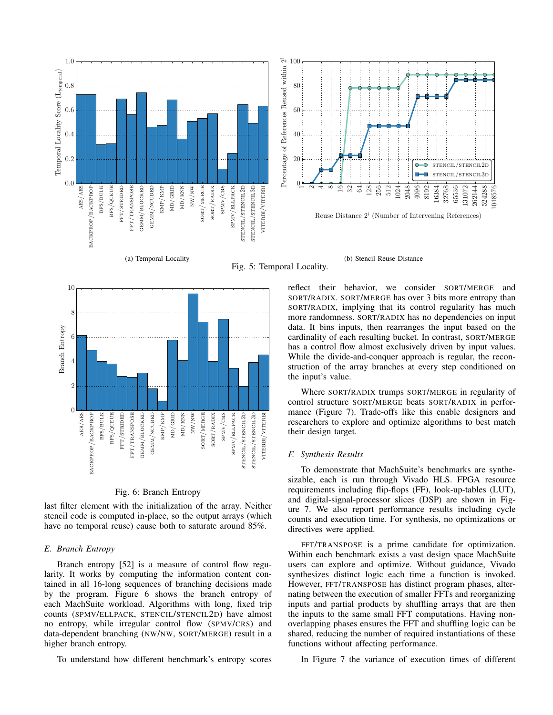



Reuse Distance  $2^i$  (Number of Intervening References)

(a) Temporal Locality

Fig. 5: Temporal Locality.





last filter element with the initialization of the array. Neither stencil code is computed in-place, so the output arrays (which have no temporal reuse) cause both to saturate around 85%.

# *E. Branch Entropy*

Branch entropy [52] is a measure of control flow regularity. It works by computing the information content contained in all 16-long sequences of branching decisions made by the program. Figure 6 shows the branch entropy of each MachSuite workload. Algorithms with long, fixed trip counts (SPMV/ELLPACK, STENCIL/STENCIL2D) have almost no entropy, while irregular control flow (SPMV/CRS) and data-dependent branching (NW/NW, SORT/MERGE) result in a higher branch entropy.

To understand how different benchmark's entropy scores



reflect their behavior, we consider SORT/MERGE and SORT/RADIX. SORT/MERGE has over 3 bits more entropy than SORT/RADIX, implying that its control regularity has much more randomness. SORT/RADIX has no dependencies on input data. It bins inputs, then rearranges the input based on the cardinality of each resulting bucket. In contrast, SORT/MERGE has a control flow almost exclusively driven by input values. While the divide-and-conquer approach is regular, the reconstruction of the array branches at every step conditioned on the input's value.

Where SORT/RADIX trumps SORT/MERGE in regularity of control structure SORT/MERGE beats SORT/RADIX in performance (Figure 7). Trade-offs like this enable designers and researchers to explore and optimize algorithms to best match their design target.

#### *F. Synthesis Results*

To demonstrate that MachSuite's benchmarks are synthesizable, each is run through Vivado HLS. FPGA resource requirements including flip-flops (FF), look-up-tables (LUT), and digital-signal-processor slices (DSP) are shown in Figure 7. We also report performance results including cycle counts and execution time. For synthesis, no optimizations or directives were applied.

FFT/TRANSPOSE is a prime candidate for optimization. Within each benchmark exists a vast design space MachSuite users can explore and optimize. Without guidance, Vivado synthesizes distinct logic each time a function is invoked. However, FFT/TRANSPOSE has distinct program phases, alternating between the execution of smaller FFTs and reorganizing inputs and partial products by shuffling arrays that are then the inputs to the same small FFT computations. Having nonoverlapping phases ensures the FFT and shuffling logic can be shared, reducing the number of required instantiations of these functions without affecting performance.

In Figure 7 the variance of execution times of different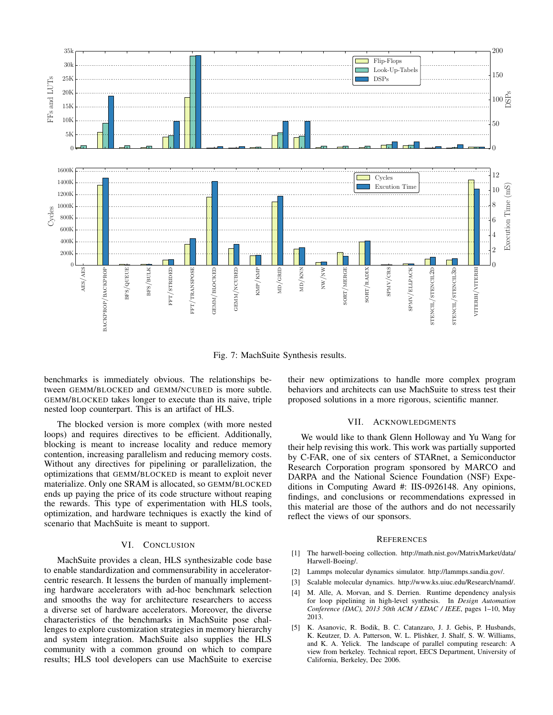

Fig. 7: MachSuite Synthesis results.

benchmarks is immediately obvious. The relationships between GEMM/BLOCKED and GEMM/NCUBED is more subtle. GEMM/BLOCKED takes longer to execute than its naive, triple nested loop counterpart. This is an artifact of HLS.

The blocked version is more complex (with more nested loops) and requires directives to be efficient. Additionally, blocking is meant to increase locality and reduce memory contention, increasing parallelism and reducing memory costs. Without any directives for pipelining or parallelization, the optimizations that GEMM/BLOCKED is meant to exploit never materialize. Only one SRAM is allocated, so GEMM/BLOCKED ends up paying the price of its code structure without reaping the rewards. This type of experimentation with HLS tools, optimization, and hardware techniques is exactly the kind of scenario that MachSuite is meant to support.

## VI. CONCLUSION

MachSuite provides a clean, HLS synthesizable code base to enable standardization and commensurability in acceleratorcentric research. It lessens the burden of manually implementing hardware accelerators with ad-hoc benchmark selection and smooths the way for architecture researchers to access a diverse set of hardware accelerators. Moreover, the diverse characteristics of the benchmarks in MachSuite pose challenges to explore customization strategies in memory hierarchy and system integration. MachSuite also supplies the HLS community with a common ground on which to compare results; HLS tool developers can use MachSuite to exercise

their new optimizations to handle more complex program behaviors and architects can use MachSuite to stress test their proposed solutions in a more rigorous, scientific manner.

#### VII. ACKNOWLEDGMENTS

We would like to thank Glenn Holloway and Yu Wang for their help revising this work. This work was partially supported by C-FAR, one of six centers of STARnet, a Semiconductor Research Corporation program sponsored by MARCO and DARPA and the National Science Foundation (NSF) Expeditions in Computing Award #: IIS-0926148. Any opinions, findings, and conclusions or recommendations expressed in this material are those of the authors and do not necessarily reflect the views of our sponsors.

#### **REFERENCES**

- [1] The harwell-boeing collection. http://math.nist.gov/MatrixMarket/data/ Harwell-Boeing/.
- [2] Lammps molecular dynamics simulator. http://lammps.sandia.gov/.
- [3] Scalable molecular dynamics. http://www.ks.uiuc.edu/Research/namd/.
- [4] M. Alle, A. Morvan, and S. Derrien. Runtime dependency analysis for loop pipelining in high-level synthesis. In *Design Automation Conference (DAC), 2013 50th ACM / EDAC / IEEE*, pages 1–10, May 2013.
- [5] K. Asanovic, R. Bodik, B. C. Catanzaro, J. J. Gebis, P. Husbands, K. Keutzer, D. A. Patterson, W. L. Plishker, J. Shalf, S. W. Williams, and K. A. Yelick. The landscape of parallel computing research: A view from berkeley. Technical report, EECS Department, University of California, Berkeley, Dec 2006.